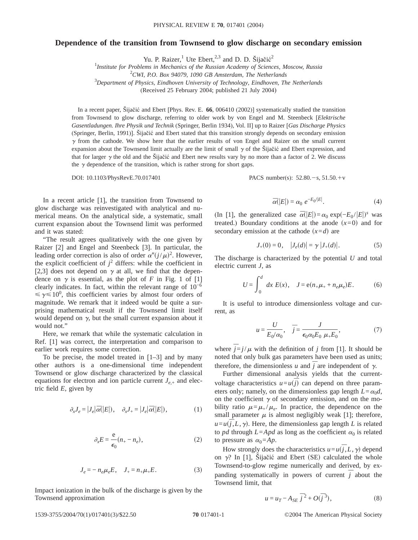## **Dependence of the transition from Townsend to glow discharge on secondary emission**

Yu. P. Raizer, Ute Ebert,  $2,3$  and D. D. Šijačić<sup>2</sup>

 *Institute for Problems in Mechanics of the Russian Academy of Sciences, Moscow, Russia CWI, P.O. Box 94079, 1090 GB Amsterdam, The Netherlands Department of Physics, Eindhoven University of Technology, Eindhoven, The Netherlands* (Received 25 February 2004; published 21 July 2004)

In a recent paper, Šijačić and Ebert [Phys. Rev. E. **66**, 006410 (2002)] systematically studied the transition from Townsend to glow discharge, referring to older work by von Engel and M. Steenbeck [*Elektrische Gasentladungen. Ihre Physik und Technik* (Springer, Berlin 1934), Vol. II] up to Raizer [*Gas Discharge Physics* (Springer, Berlin, 1991)]. Šijačić and Ebert stated that this transition strongly depends on secondary emission  $\gamma$  from the cathode. We show here that the earlier results of von Engel and Raizer on the small current expansion about the Townsend limit actually are the limit of small  $\gamma$  of the Šijačić and Ebert expression, and that for larger  $\gamma$  the old and the Šijačić and Ebert new results vary by no more than a factor of 2. We discuss the  $\gamma$  dependence of the transition, which is rather strong for short gaps.

DOI: 10.1103/PhysRevE.70.017401 PACS number(s): 52.80. - s, 51.50. + v

In a recent article [1], the transition from Townsend to glow discharge was reinvestigated with analytical and numerical means. On the analytical side, a systematic, small current expansion about the Townsend limit was performed and it was stated:

"The result agrees qualitatively with the one given by Raizer [2] and Engel and Steenbeck [3]. In particular, the leading order correction is also of order  $\alpha''(j/\mu)^2$ . However, the explicit coefficient of  $j^2$  differs: while the coefficient in [2,3] does not depend on  $\gamma$  at all, we find that the dependence on  $\gamma$  is essential, as the plot of *F* in Fig. 1 of [1] clearly indicates. In fact, within the relevant range of  $10^{-6}$  $\leq \gamma \leq 10^0$ , this coefficient varies by almost four orders of magnitude. We remark that it indeed would be quite a surprising mathematical result if the Townsend limit itself would depend on  $\gamma$ , but the small current expansion about it would not."

Here, we remark that while the systematic calculation in Ref. [1] was correct, the interpretation and comparison to earlier work requires some correction.

To be precise, the model treated in  $[1-3]$  and by many other authors is a one-dimensional time independent Townsend or glow discharge characterized by the classical equations for electron and ion particle current  $J_{e,+}$  and electric field *E*, given by

$$
\partial_x J_e = |J_e| \overline{\alpha}(|E|), \quad \partial_x J_+ = |J_e| \overline{\alpha}(|E|), \tag{1}
$$

$$
\partial_x E = \frac{e}{\epsilon_0} (n_+ - n_e), \tag{2}
$$

$$
J_e = -n_e \mu_e E, \quad J_+ = n_+ \mu_+ E. \tag{3}
$$

Impact ionization in the bulk of the discharge is given by the Townsend approximation

$$
\overline{\alpha}(|E|) = \alpha_0 e^{-E_0/|E|}.
$$
 (4)

(In [1], the generalized case  $\bar{\alpha}(|E|) = \alpha_0 \exp(-E_0 / |E|)^s$  was treated.) Boundary conditions at the anode  $(x=0)$  and for secondary emission at the cathode  $(x=d)$  are

$$
J_+(0) = 0, \quad |J_e(d)| = \gamma |J_+(d)|. \tag{5}
$$

The discharge is characterized by the potential *U* and total electric current *J*, as

$$
U = \int_0^d dx E(x), \quad J = e(n_+ \mu_+ + n_e \mu_e)E. \tag{6}
$$

It is useful to introduce dimensionless voltage and current, as

$$
u = \frac{U}{E_0/\alpha_0}, \quad \overline{j} = \frac{J}{\epsilon_0 \alpha_0 E_0 \mu_+ E_0}, \tag{7}
$$

where  $\bar{j} = j/\mu$  with the definition of *j* from [1]. It should be noted that only bulk gas parameters have been used as units; therefore, the dimensionless *u* and  $\overline{j}$  are independent of  $\gamma$ .

Further dimensional analysis yields that the currentvoltage characteristics  $u=u(\overline{j})$  can depend on three parameters only; namely, on the dimensionless gap length  $L = \alpha_0 d$ , on the coefficient  $\gamma$  of secondary emission, and on the mobility ratio  $\mu = \mu_+ / \mu_e$ . In practice, the dependence on the small parameter  $\mu$  is almost negligibly weak [1]; therefore,  $u=u(\bar{j},L,\gamma)$ . Here, the dimensionless gap length *L* is related to *pd* through  $L = Apd$  as long as the coefficient  $\alpha_0$  is related to pressure as  $\alpha_0 = Ap$ .

How strongly does the characteristics  $u = u(\overline{j}, L, \gamma)$  depend on  $\gamma$ ? In [1], Šijačić and Ebert (SE) calculated the whole Townsend-to-glow regime numerically and derived, by expanding systematically in powers of current  $\overline{j}$  about the Townsend limit, that

$$
u = u_T - A_{SE} \bar{j}^2 + O(\bar{j}^3), \tag{8}
$$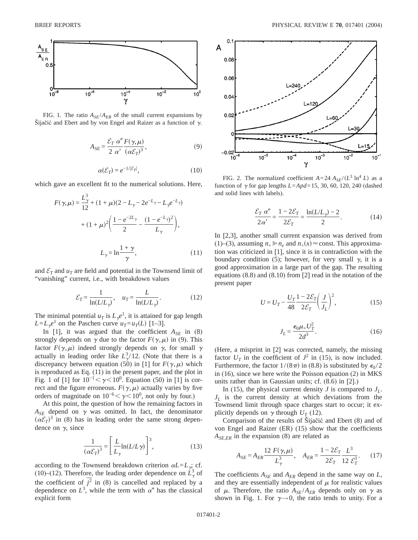

FIG. 1. The ratio  $A_{SE}/A_{ER}$  of the small current expansions by Šijačić and Ebert and by von Engel and Raizer as a function of  $\gamma$ .

$$
A_{SE} = \frac{\mathcal{E}_T \alpha''}{2 \alpha'} \frac{F(\gamma, \mu)}{(\alpha \mathcal{E}_T)^3},
$$
(9)

$$
\alpha(\mathcal{E}_T) = e^{-1/|\mathcal{E}_T|},\tag{10}
$$

which gave an excellent fit to the numerical solutions. Here,

$$
F(\gamma,\mu) = \frac{L_{\gamma}^{3}}{12} + (1+\mu)(2-L_{\gamma}-2e^{-L_{\gamma}}-L_{\gamma}e^{-L_{\gamma}}) + (1+\mu)^{2}\left(\frac{1-e^{-2L_{\gamma}}}{2} - \frac{(1-e^{-L_{\gamma}})^{2}}{L_{\gamma}}\right),
$$

$$
L_{\gamma} = \ln\frac{1+\gamma}{\gamma}, \qquad (11)
$$

and  $\mathcal{E}_T$  and  $u_T$  are field and potential in the Townsend limit of "vanishing" current, i.e., with breakdown values

$$
\mathcal{E}_T = \frac{1}{\ln(L/L_\gamma)}, \quad u_T = \frac{L}{\ln(L/L_\gamma)}.\tag{12}
$$

The minimal potential  $u_T$  is  $L_{\gamma}e^{1}$ , it is attained for gap length  $L = L<sub>x</sub>e<sup>1</sup>$  on the Paschen curve  $u<sub>T</sub> = u<sub>T</sub>(L)$  [1–3].

In [1], it was argued that the coefficient  $A_{SE}$  in (8) strongly depends on  $\gamma$  due to the factor  $F(\gamma,\mu)$  in (9). This factor  $F(\gamma,\mu)$  indeed strongly depends on  $\gamma$ , for small  $\gamma$ actually in leading order like  $L^3_\gamma/12$ . (Note that there is a discrepancy between equation (50) in [1] for  $F(\gamma,\mu)$  which is reproduced as Eq. (11) in the present paper, and the plot in Fig. 1 of [1] for  $10^{-1} < \gamma < 10^{0}$ . Equation (50) in [1] is correct and the figure erroneous.  $F(\gamma,\mu)$  actually varies by five orders of magnitude on  $10^{-6} < \gamma < 10^0$ , not only by four.)

At this point, the question of how the remaining factors in  $A_{SE}$  depend on  $\gamma$  was omitted. In fact, the denominator  $(\alpha \mathcal{E}_T)^3$  in (8) has in leading order the same strong dependence on  $\gamma$ , since

$$
\frac{1}{(\alpha \mathcal{E}_T)^3} = \left[ \frac{L}{L_\gamma} \ln(L/L\gamma) \right]^3,\tag{13}
$$

according to the Townsend breakdown criterion  $\alpha L = L_{\gamma}$  cf. (10)–(12). Therefore, the leading order dependence on  $\hat{L}_{\gamma}^3$  of the coefficient of  $\vec{f}^2$  in (8) is cancelled and replaced by a dependence on  $L^3$ , while the term with  $\alpha''$  has the classical explicit form



FIG. 2. The normalized coefficient  $A = 24 A_{SE}/(L^3 \ln^4 L)$  as a function of  $\gamma$  for gap lengths *L*=*Apd*=15, 30, 60, 120, 240 (dashed and solid lines with labels).

$$
\frac{\mathcal{E}_T \alpha''}{2\alpha'} = \frac{1 - 2\mathcal{E}_T}{2\mathcal{E}_T} = \frac{\ln(L/L_\gamma) - 2}{2}.
$$
 (14)

In [2,3], another small current expansion was derived from (1)–(3), assuming  $n_+ \ge n_e$  and  $n_+(x) \approx$  const. This approximation was criticized in [1], since it is in contradiction with the boundary condition (5); however, for very small  $\gamma$ , it is a good approximation in a large part of the gap. The resulting equations (8.8) and (8.10) from [2] read in the notation of the present paper

$$
U = U_T - \frac{U_T}{48} \frac{1 - 2\mathcal{E}_T}{2\mathcal{E}_T} \left(\frac{J}{J_L}\right)^2,\tag{15}
$$

$$
J_L = \frac{\epsilon_0 \mu_+ U_T^2}{2d^3}.
$$
 (16)

(Here, a misprint in [2] was corrected, namely, the missing factor  $U_T$  in the coefficient of  $J^2$  in (15), is now included. Furthermore, the factor  $1/(8\pi)$  in (8.8) is substituted by  $\epsilon_0 / 2$ in (16), since we here write the Poisson equation (2) in MKS units rather than in Gaussian units; cf. (8.6) in [2].)

In (15), the physical current density *J* is compared to  $J_L$ .  $J_L$  is the current density at which deviations from the Townsend limit through space charges start to occur; it explicitly depends on  $\gamma$  through  $U_T$  (12).

Comparison of the results of Šijačić and Ebert (8) and of von Engel and Raizer (ER) (15) show that the coefficients *ASE*,*ER* in the expansion (8) are related as

$$
A_{SE} = A_{ER} \frac{12 F(\gamma, \mu)}{L_{\gamma}^{3}}, \quad A_{ER} = \frac{1 - 2\mathcal{E}_{T}}{2\mathcal{E}_{T}} \frac{L^{3}}{12 \mathcal{E}_{T}^{3}}.
$$
 (17)

The coefficients  $A_{SE}$  and  $A_{ER}$  depend in the same way on  $L$ , and they are essentially independent of  $\mu$  for realistic values of  $\mu$ . Therefore, the ratio  $A_{SE}/A_{ER}$  depends only on  $\gamma$  as shown in Fig. 1. For  $\gamma \rightarrow 0$ , the ratio tends to unity. For a